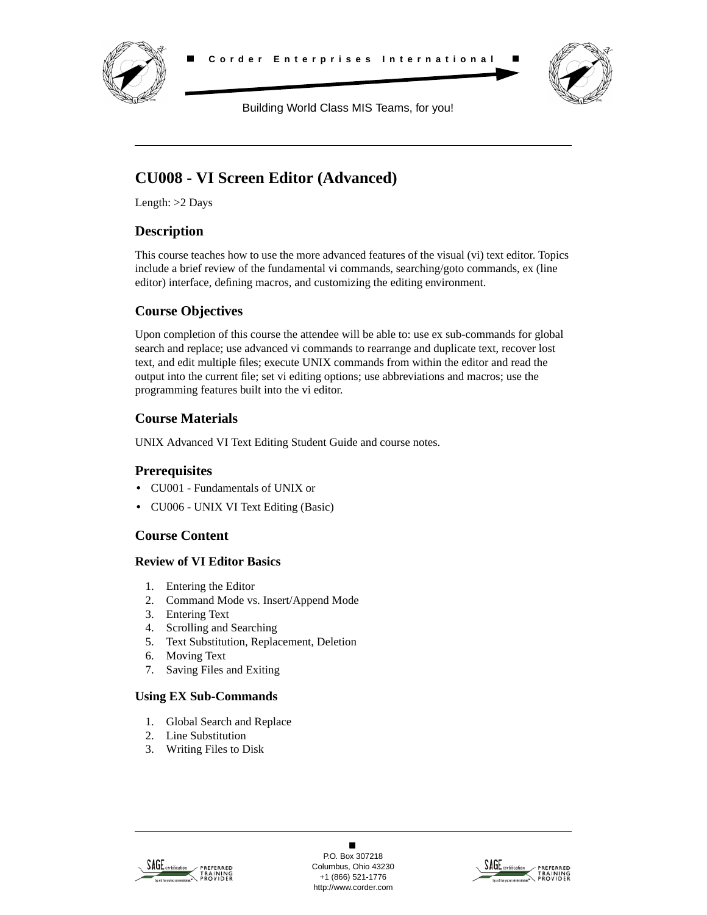



Building World Class MIS Teams, for you!

# **CU008 - VI Screen Editor (Advanced)**

Length: >2 Days

# **Description**

This course teaches how to use the more advanced features of the visual (vi) text editor. Topics include a brief review of the fundamental vi commands, searching/goto commands, ex (line editor) interface, defining macros, and customizing the editing environment.

# **Course Objectives**

Upon completion of this course the attendee will be able to: use ex sub-commands for global search and replace; use advanced vi commands to rearrange and duplicate text, recover lost text, and edit multiple files; execute UNIX commands from within the editor and read the output into the current file; set vi editing options; use abbreviations and macros; use the programming features built into the vi editor.

# **Course Materials**

UNIX Advanced VI Text Editing Student Guide and course notes.

## **Prerequisites**

- **•** CU001 Fundamentals of UNIX or
- **•** CU006 UNIX VI Text Editing (Basic)

## **Course Content**

## **Review of VI Editor Basics**

- 1. Entering the Editor
- 2. Command Mode vs. Insert/Append Mode
- 3. Entering Text
- 4. Scrolling and Searching
- 5. Text Substitution, Replacement, Deletion
- 6. Moving Text
- 7. Saving Files and Exiting

## **Using EX Sub-Commands**

- 1. Global Search and Replace
- 2. Line Substitution
- 3. Writing Files to Disk



 $\blacksquare$ P.O. Box 307218 Columbus, Ohio 43230 +1 (866) 521-1776 http://www.corder.com